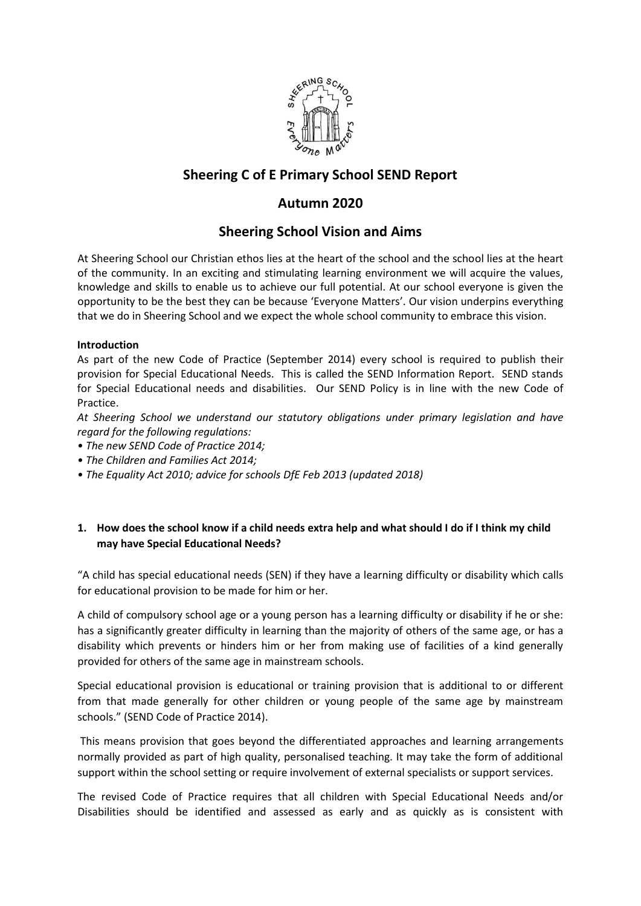

# **Sheering C of E Primary School SEND Report**

# **Autumn 2020**

## **Sheering School Vision and Aims**

At Sheering School our Christian ethos lies at the heart of the school and the school lies at the heart of the community. In an exciting and stimulating learning environment we will acquire the values, knowledge and skills to enable us to achieve our full potential. At our school everyone is given the opportunity to be the best they can be because 'Everyone Matters'. Our vision underpins everything that we do in Sheering School and we expect the whole school community to embrace this vision.

### **Introduction**

As part of the new Code of Practice (September 2014) every school is required to publish their provision for Special Educational Needs. This is called the SEND Information Report. SEND stands for Special Educational needs and disabilities. Our SEND Policy is in line with the new Code of Practice.

*At Sheering School we understand our statutory obligations under primary legislation and have regard for the following regulations:* 

- *The new SEND Code of Practice 2014;*
- *The Children and Families Act 2014;*
- *The Equality Act 2010; advice for schools DfE Feb 2013 (updated 2018)*

## **1. How does the school know if a child needs extra help and what should I do if I think my child may have Special Educational Needs?**

"A child has special educational needs (SEN) if they have a learning difficulty or disability which calls for educational provision to be made for him or her.

A child of compulsory school age or a young person has a learning difficulty or disability if he or she: has a significantly greater difficulty in learning than the majority of others of the same age, or has a disability which prevents or hinders him or her from making use of facilities of a kind generally provided for others of the same age in mainstream schools.

Special educational provision is educational or training provision that is additional to or different from that made generally for other children or young people of the same age by mainstream schools." (SEND Code of Practice 2014).

This means provision that goes beyond the differentiated approaches and learning arrangements normally provided as part of high quality, personalised teaching. It may take the form of additional support within the school setting or require involvement of external specialists or support services.

The revised Code of Practice requires that all children with Special Educational Needs and/or Disabilities should be identified and assessed as early and as quickly as is consistent with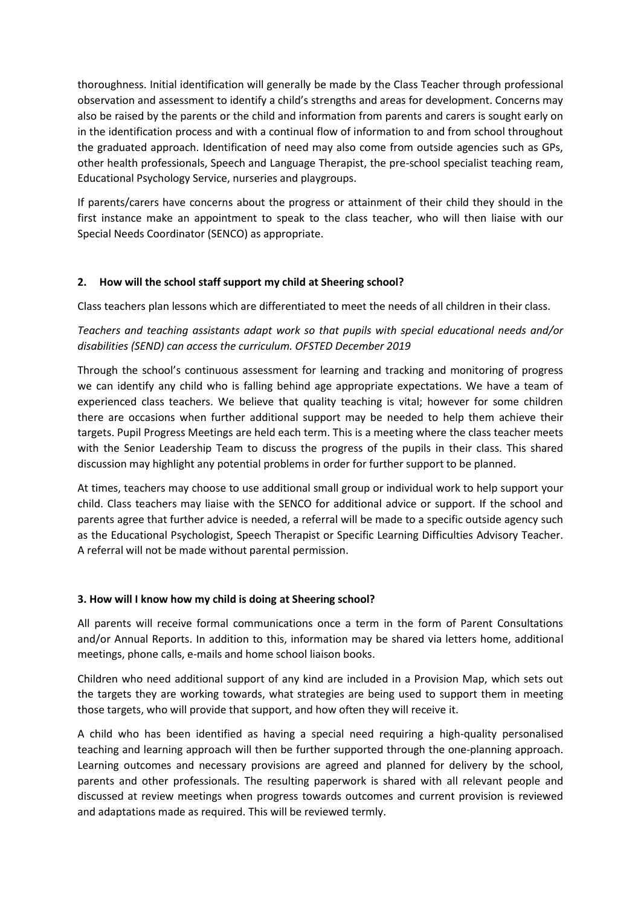thoroughness. Initial identification will generally be made by the Class Teacher through professional observation and assessment to identify a child's strengths and areas for development. Concerns may also be raised by the parents or the child and information from parents and carers is sought early on in the identification process and with a continual flow of information to and from school throughout the graduated approach. Identification of need may also come from outside agencies such as GPs, other health professionals, Speech and Language Therapist, the pre-school specialist teaching ream, Educational Psychology Service, nurseries and playgroups.

If parents/carers have concerns about the progress or attainment of their child they should in the first instance make an appointment to speak to the class teacher, who will then liaise with our Special Needs Coordinator (SENCO) as appropriate.

## **2. How will the school staff support my child at Sheering school?**

Class teachers plan lessons which are differentiated to meet the needs of all children in their class.

## *Teachers and teaching assistants adapt work so that pupils with special educational needs and/or disabilities (SEND) can access the curriculum. OFSTED December 2019*

Through the school's continuous assessment for learning and tracking and monitoring of progress we can identify any child who is falling behind age appropriate expectations. We have a team of experienced class teachers. We believe that quality teaching is vital; however for some children there are occasions when further additional support may be needed to help them achieve their targets. Pupil Progress Meetings are held each term. This is a meeting where the class teacher meets with the Senior Leadership Team to discuss the progress of the pupils in their class. This shared discussion may highlight any potential problems in order for further support to be planned.

At times, teachers may choose to use additional small group or individual work to help support your child. Class teachers may liaise with the SENCO for additional advice or support. If the school and parents agree that further advice is needed, a referral will be made to a specific outside agency such as the Educational Psychologist, Speech Therapist or Specific Learning Difficulties Advisory Teacher. A referral will not be made without parental permission.

#### **3. How will I know how my child is doing at Sheering school?**

All parents will receive formal communications once a term in the form of Parent Consultations and/or Annual Reports. In addition to this, information may be shared via letters home, additional meetings, phone calls, e-mails and home school liaison books.

Children who need additional support of any kind are included in a Provision Map, which sets out the targets they are working towards, what strategies are being used to support them in meeting those targets, who will provide that support, and how often they will receive it.

A child who has been identified as having a special need requiring a high-quality personalised teaching and learning approach will then be further supported through the one-planning approach. Learning outcomes and necessary provisions are agreed and planned for delivery by the school, parents and other professionals. The resulting paperwork is shared with all relevant people and discussed at review meetings when progress towards outcomes and current provision is reviewed and adaptations made as required. This will be reviewed termly.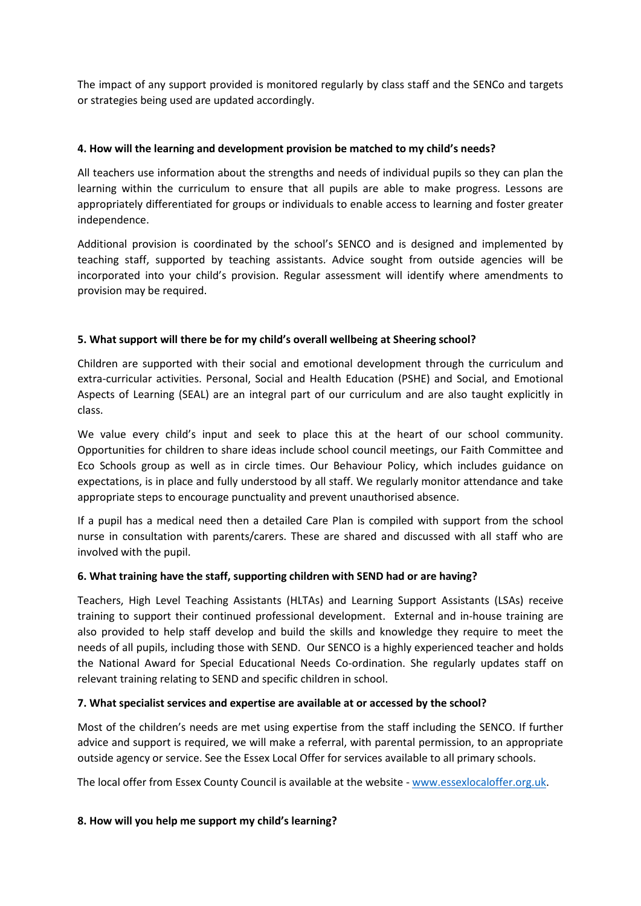The impact of any support provided is monitored regularly by class staff and the SENCo and targets or strategies being used are updated accordingly.

#### **4. How will the learning and development provision be matched to my child's needs?**

All teachers use information about the strengths and needs of individual pupils so they can plan the learning within the curriculum to ensure that all pupils are able to make progress. Lessons are appropriately differentiated for groups or individuals to enable access to learning and foster greater independence.

Additional provision is coordinated by the school's SENCO and is designed and implemented by teaching staff, supported by teaching assistants. Advice sought from outside agencies will be incorporated into your child's provision. Regular assessment will identify where amendments to provision may be required.

## **5. What support will there be for my child's overall wellbeing at Sheering school?**

Children are supported with their social and emotional development through the curriculum and extra-curricular activities. Personal, Social and Health Education (PSHE) and Social, and Emotional Aspects of Learning (SEAL) are an integral part of our curriculum and are also taught explicitly in class.

We value every child's input and seek to place this at the heart of our school community. Opportunities for children to share ideas include school council meetings, our Faith Committee and Eco Schools group as well as in circle times. Our Behaviour Policy, which includes guidance on expectations, is in place and fully understood by all staff. We regularly monitor attendance and take appropriate steps to encourage punctuality and prevent unauthorised absence.

If a pupil has a medical need then a detailed Care Plan is compiled with support from the school nurse in consultation with parents/carers. These are shared and discussed with all staff who are involved with the pupil.

#### **6. What training have the staff, supporting children with SEND had or are having?**

Teachers, High Level Teaching Assistants (HLTAs) and Learning Support Assistants (LSAs) receive training to support their continued professional development. External and in-house training are also provided to help staff develop and build the skills and knowledge they require to meet the needs of all pupils, including those with SEND. Our SENCO is a highly experienced teacher and holds the National Award for Special Educational Needs Co-ordination. She regularly updates staff on relevant training relating to SEND and specific children in school.

#### **7. What specialist services and expertise are available at or accessed by the school?**

Most of the children's needs are met using expertise from the staff including the SENCO. If further advice and support is required, we will make a referral, with parental permission, to an appropriate outside agency or service. See the Essex Local Offer for services available to all primary schools.

The local offer from Essex County Council is available at the website - [www.essexlocaloffer.org.uk.](http://www.essexlocaloffer.org.uk/)

#### **8. How will you help me support my child's learning?**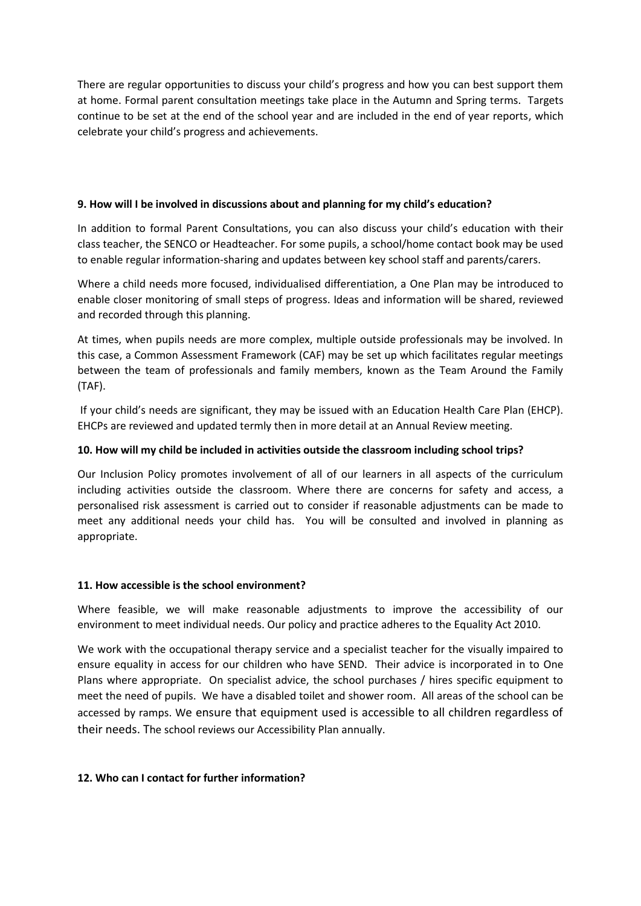There are regular opportunities to discuss your child's progress and how you can best support them at home. Formal parent consultation meetings take place in the Autumn and Spring terms. Targets continue to be set at the end of the school year and are included in the end of year reports, which celebrate your child's progress and achievements.

#### **9. How will I be involved in discussions about and planning for my child's education?**

In addition to formal Parent Consultations, you can also discuss your child's education with their class teacher, the SENCO or Headteacher. For some pupils, a school/home contact book may be used to enable regular information-sharing and updates between key school staff and parents/carers.

Where a child needs more focused, individualised differentiation, a One Plan may be introduced to enable closer monitoring of small steps of progress. Ideas and information will be shared, reviewed and recorded through this planning.

At times, when pupils needs are more complex, multiple outside professionals may be involved. In this case, a Common Assessment Framework (CAF) may be set up which facilitates regular meetings between the team of professionals and family members, known as the Team Around the Family (TAF).

If your child's needs are significant, they may be issued with an Education Health Care Plan (EHCP). EHCPs are reviewed and updated termly then in more detail at an Annual Review meeting.

## **10. How will my child be included in activities outside the classroom including school trips?**

Our Inclusion Policy promotes involvement of all of our learners in all aspects of the curriculum including activities outside the classroom. Where there are concerns for safety and access, a personalised risk assessment is carried out to consider if reasonable adjustments can be made to meet any additional needs your child has. You will be consulted and involved in planning as appropriate.

## **11. How accessible is the school environment?**

Where feasible, we will make reasonable adjustments to improve the accessibility of our environment to meet individual needs. Our policy and practice adheres to the Equality Act 2010.

We work with the occupational therapy service and a specialist teacher for the visually impaired to ensure equality in access for our children who have SEND. Their advice is incorporated in to One Plans where appropriate. On specialist advice, the school purchases / hires specific equipment to meet the need of pupils. We have a disabled toilet and shower room. All areas of the school can be accessed by ramps. We ensure that equipment used is accessible to all children regardless of their needs. The school reviews our Accessibility Plan annually.

## **12. Who can I contact for further information?**